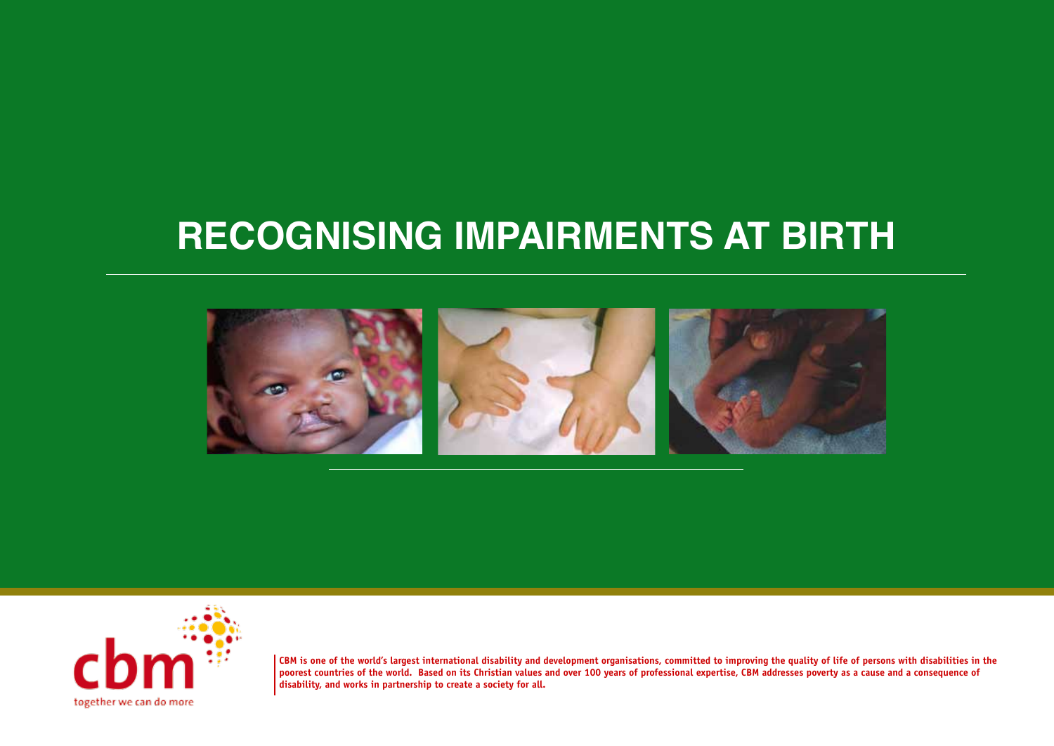#### **RECOGNISING IMPAIRMENTS AT BIRTH**





**CBM is one of the world's largest international disability and development organisations, committed to improving the quality of life of persons with disabilities in the poorest countries of the world. Based on its Christian values and over 100 years of professional expertise, CBM addresses poverty as a cause and a consequence of disability, and works in partnership to create a society for all.**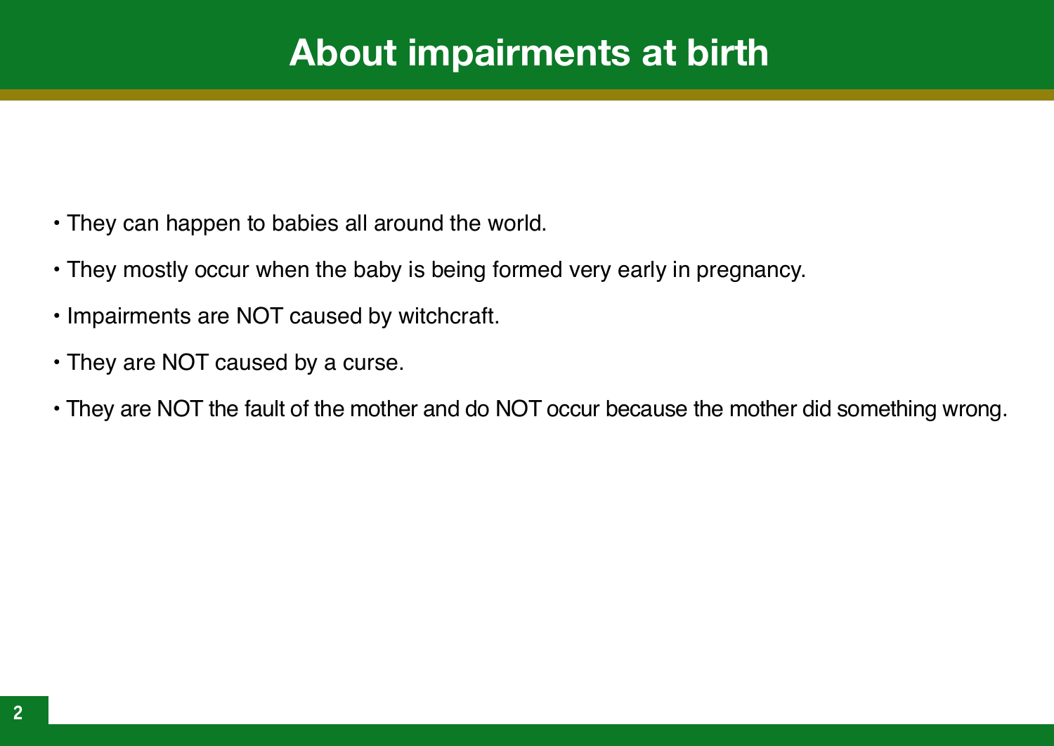## **About impairments at birth**

- They can happen to babies all around the world.
- They mostly occur when the baby is being formed very early in pregnancy.
- Impairments are NOT caused by witchcraft.
- They are NOT caused by a curse.
- They are NOT the fault of the mother and do NOT occur because the mother did something wrong.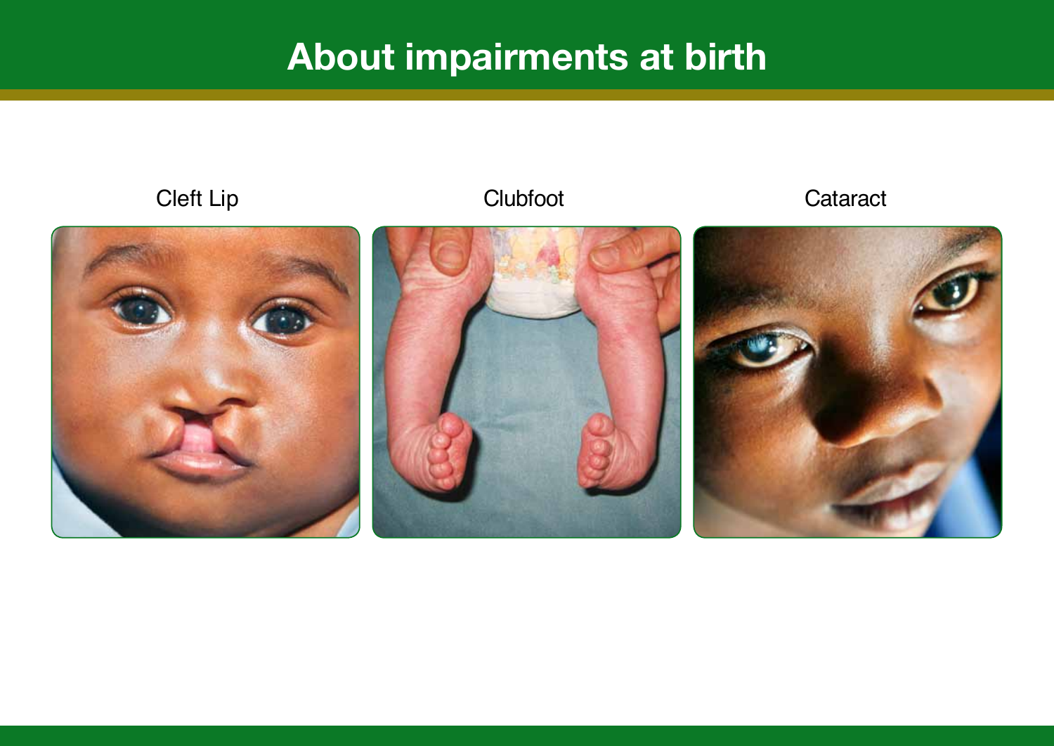# **About impairments at birth**

Cleft Lip Clubfoot Clubfoot Cataract





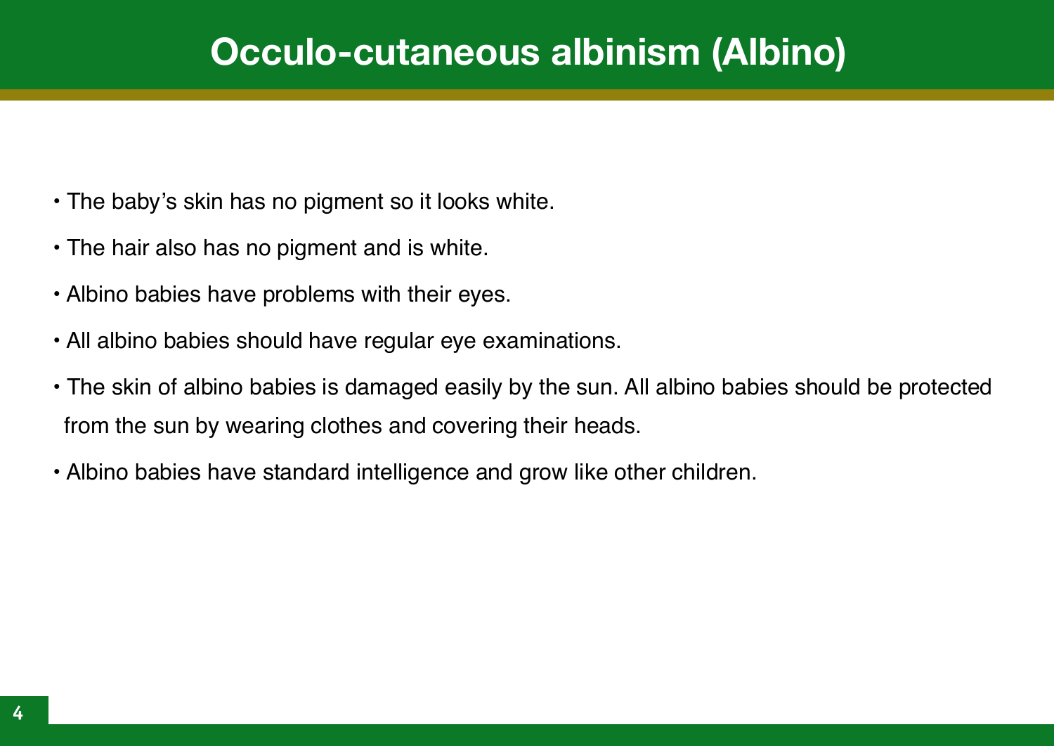#### **Occulo-cutaneous albinism (Albino)**

- The baby's skin has no pigment so it looks white.
- The hair also has no pigment and is white.
- Albino babies have problems with their eyes.
- All albino babies should have regular eye examinations.
- The skin of albino babies is damaged easily by the sun. All albino babies should be protected from the sun by wearing clothes and covering their heads.
- Albino babies have standard intelligence and grow like other children.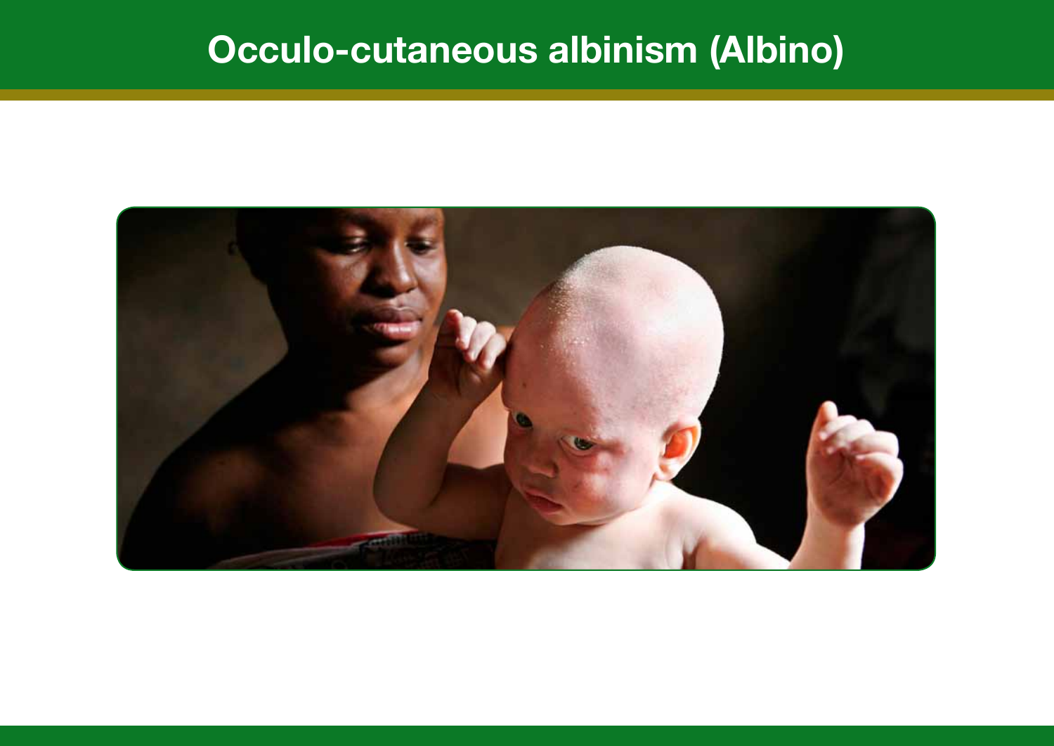# **Occulo-cutaneous albinism (Albino)**

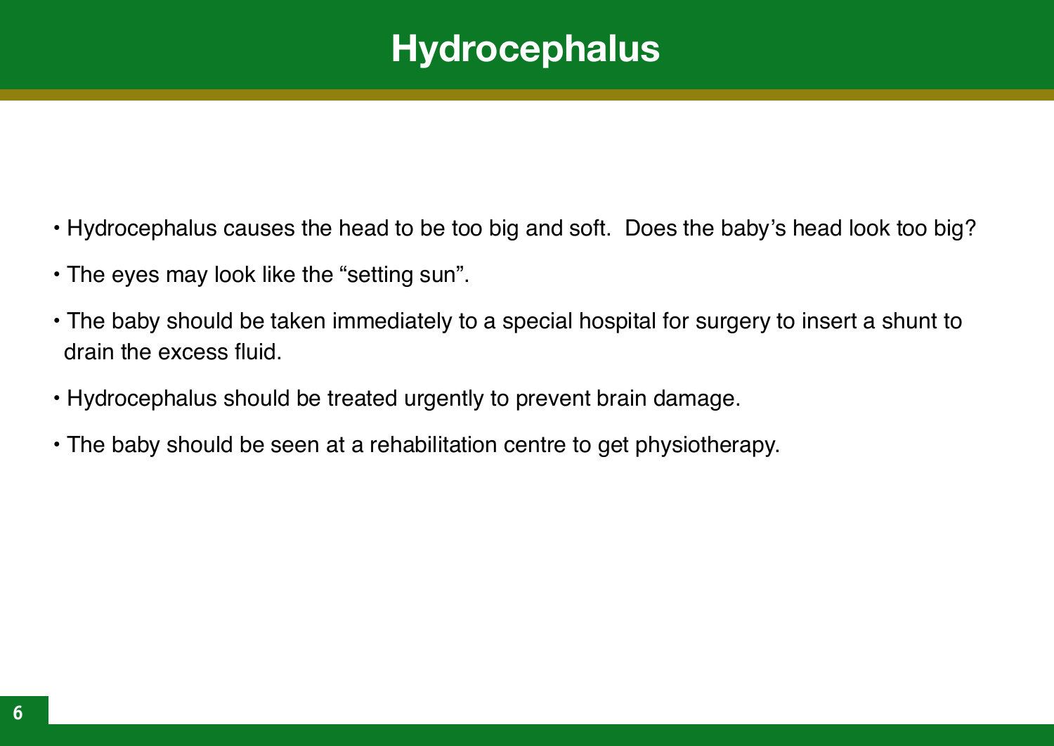## **Hydrocephalus**

- Hydrocephalus causes the head to be too big and soft. Does the baby's head look too big?
- The eyes may look like the "setting sun".
- The baby should be taken immediately to a special hospital for surgery to insert a shunt to drain the excess fluid.
- Hydrocephalus should be treated urgently to prevent brain damage.
- The baby should be seen at a rehabilitation centre to get physiotherapy.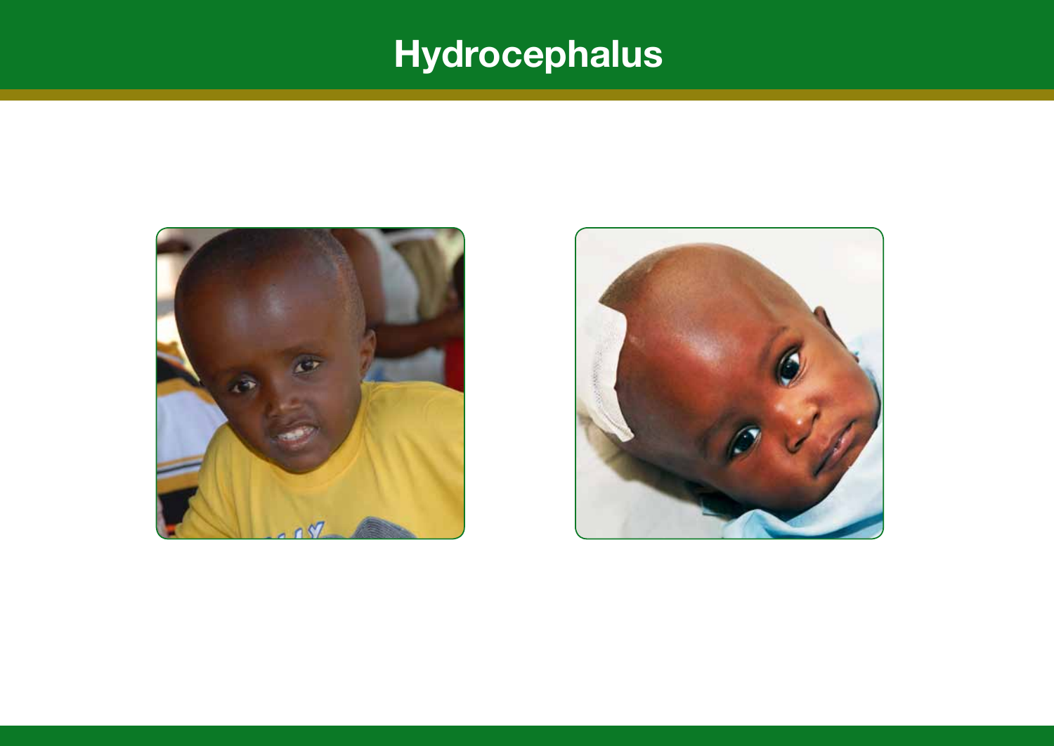# **Hydrocephalus**



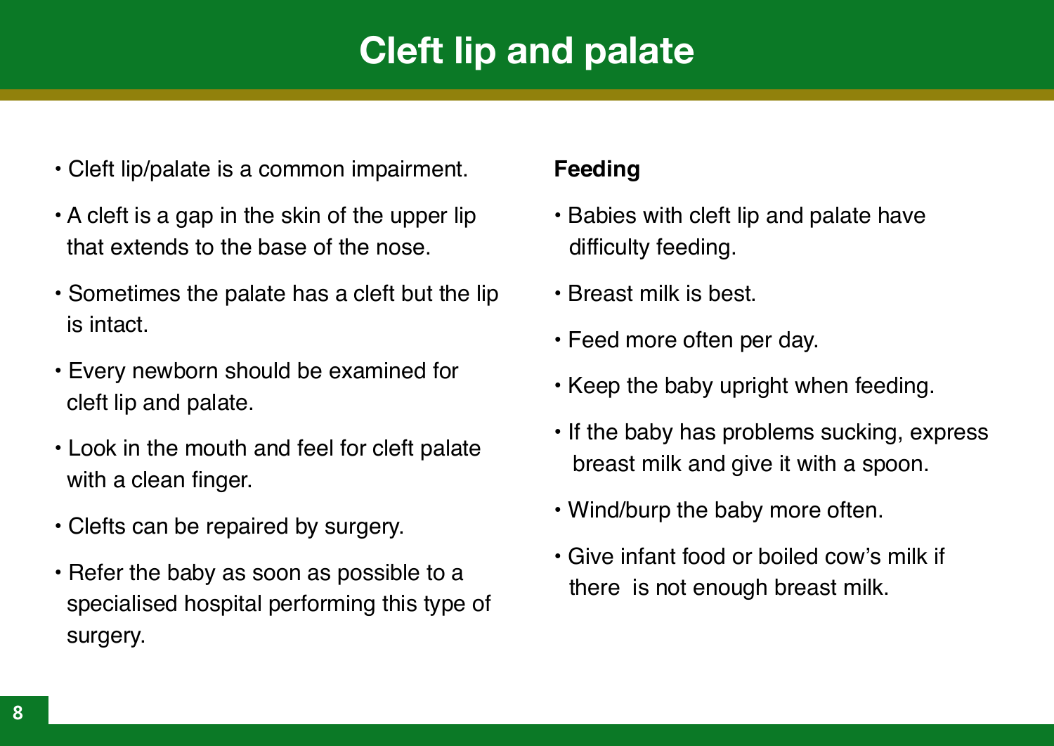# **Cleft lip and palate**

- Cleft lip/palate is a common impairment.
- A cleft is a gap in the skin of the upper lip that extends to the base of the nose.
- Sometimes the palate has a cleft but the lip is intact.
- Every newborn should be examined for cleft lip and palate.
- Look in the mouth and feel for cleft palate with a clean finger.
- Clefts can be repaired by surgery.
- Refer the baby as soon as possible to a specialised hospital performing this type of surgery.

#### **Feeding**

- Babies with cleft lip and palate have difficulty feeding.
- Breast milk is best.
- Feed more often per day.
- Keep the baby upright when feeding.
- If the baby has problems sucking, express breast milk and give it with a spoon.
- Wind/burp the baby more often.
- Give infant food or boiled cow's milk if there is not enough breast milk.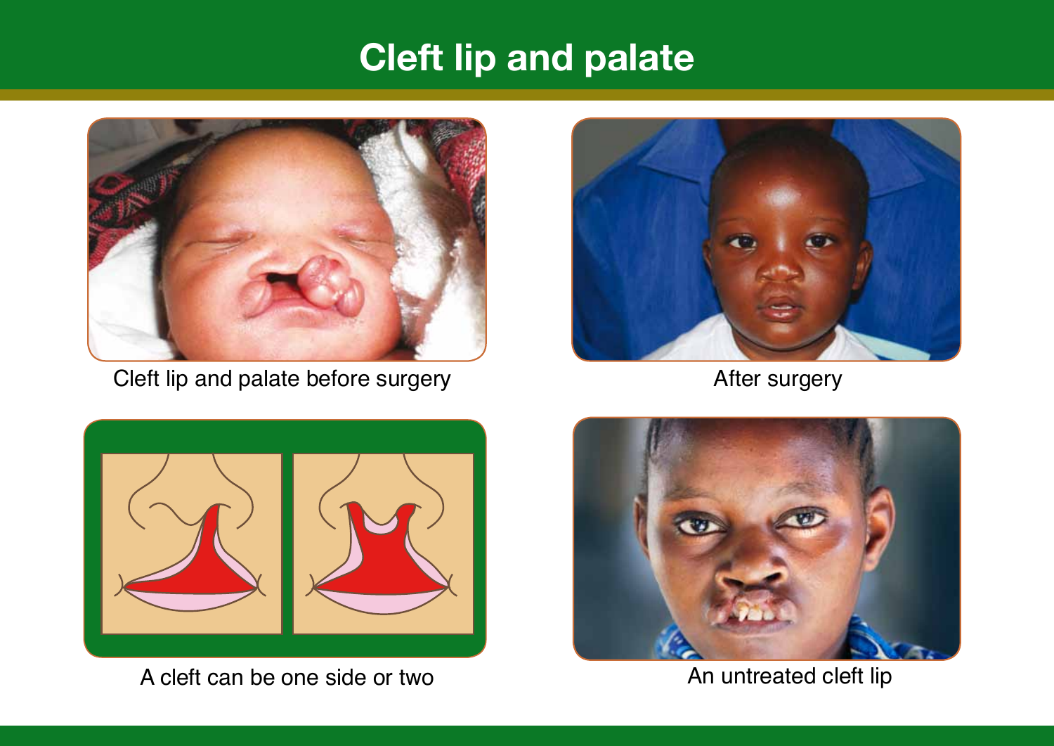# **Cleft lip and palate**



Cleft lip and palate before surgery



After surgery



A cleft can be one side or two An untreated cleft lip

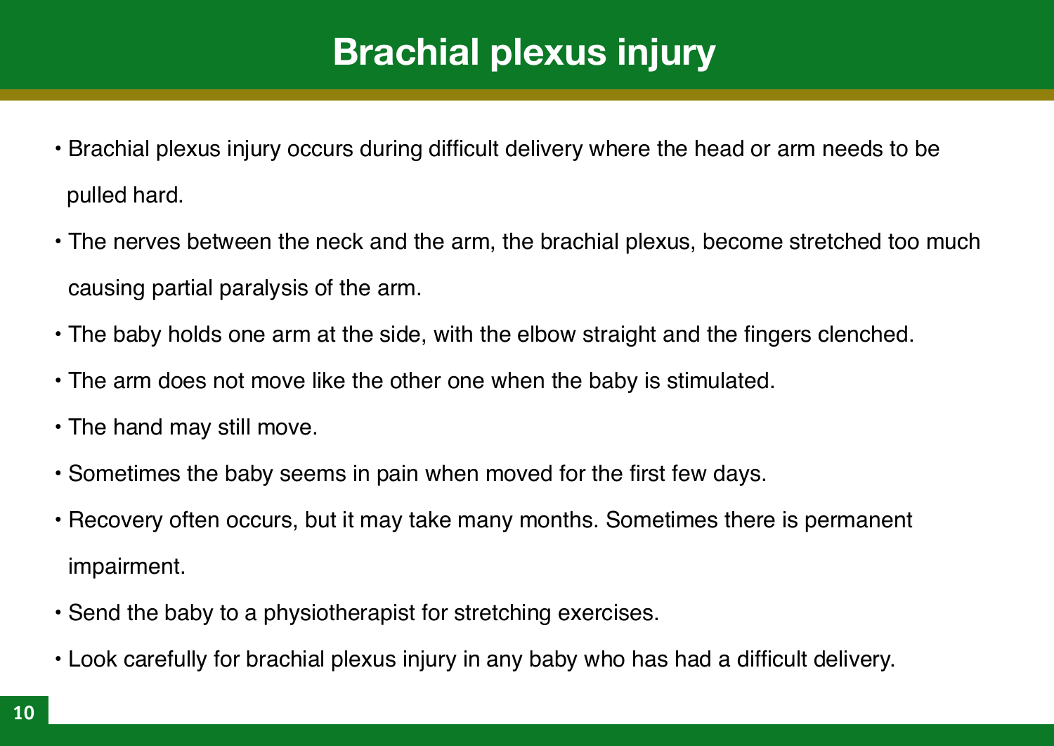# **Brachial plexus injury**

- Brachial plexus injury occurs during difficult delivery where the head or arm needs to be pulled hard.
- The nerves between the neck and the arm, the brachial plexus, become stretched too much causing partial paralysis of the arm.
- The baby holds one arm at the side, with the elbow straight and the fingers clenched.
- The arm does not move like the other one when the baby is stimulated.
- The hand may still move.
- Sometimes the baby seems in pain when moved for the first few days.
- Recovery often occurs, but it may take many months. Sometimes there is permanent impairment.
- Send the baby to a physiotherapist for stretching exercises.
- Look carefully for brachial plexus injury in any baby who has had a difficult delivery.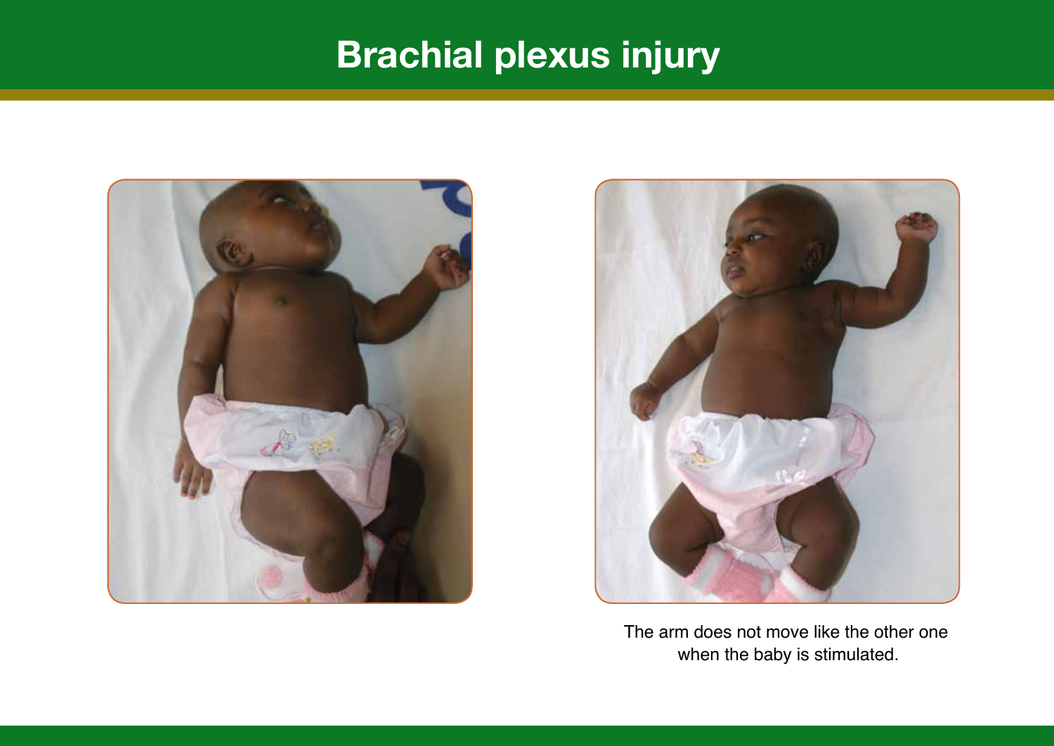# **Brachial plexus injury**





The arm does not move like the other one when the baby is stimulated.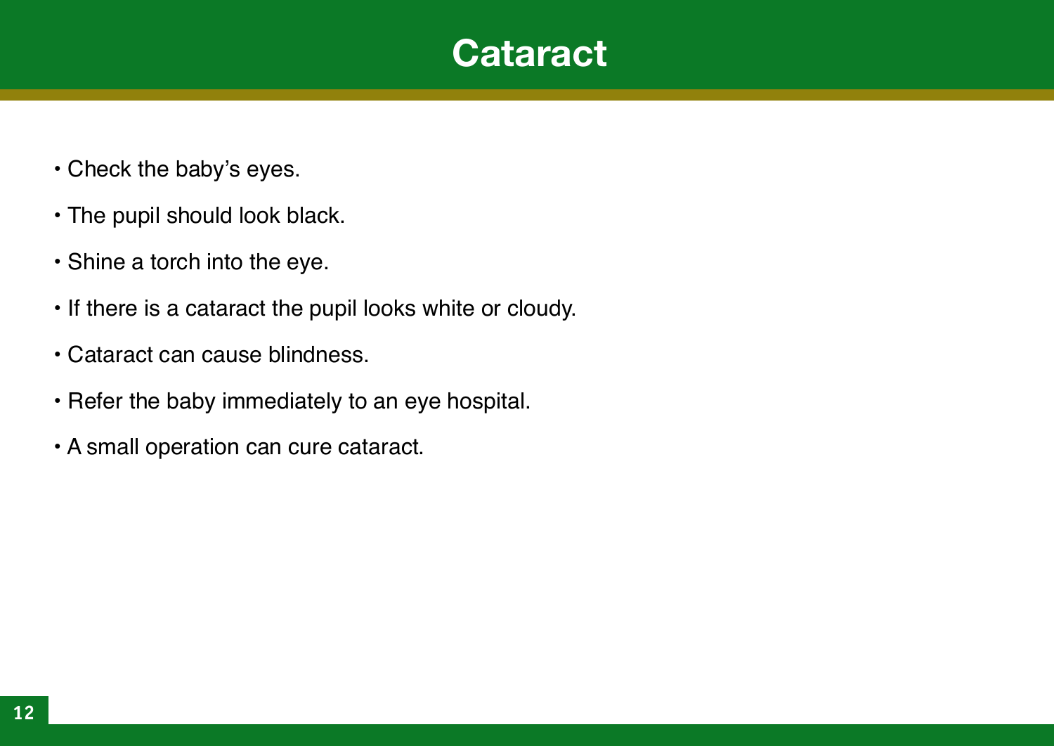#### **Cataract**

- Check the baby's eyes.
- The pupil should look black.
- Shine a torch into the eye.
- If there is a cataract the pupil looks white or cloudy.
- Cataract can cause blindness.
- Refer the baby immediately to an eye hospital.
- A small operation can cure cataract.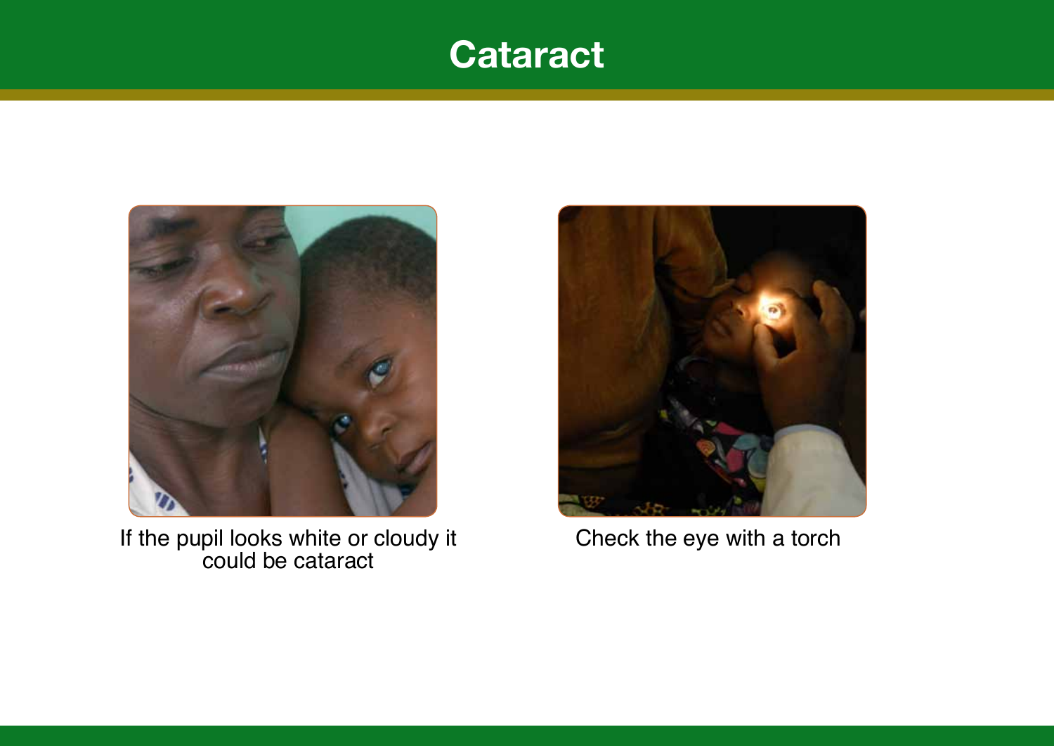#### **Cataract**



If the pupil looks white or cloudy it could be cataract



Check the eye with a torch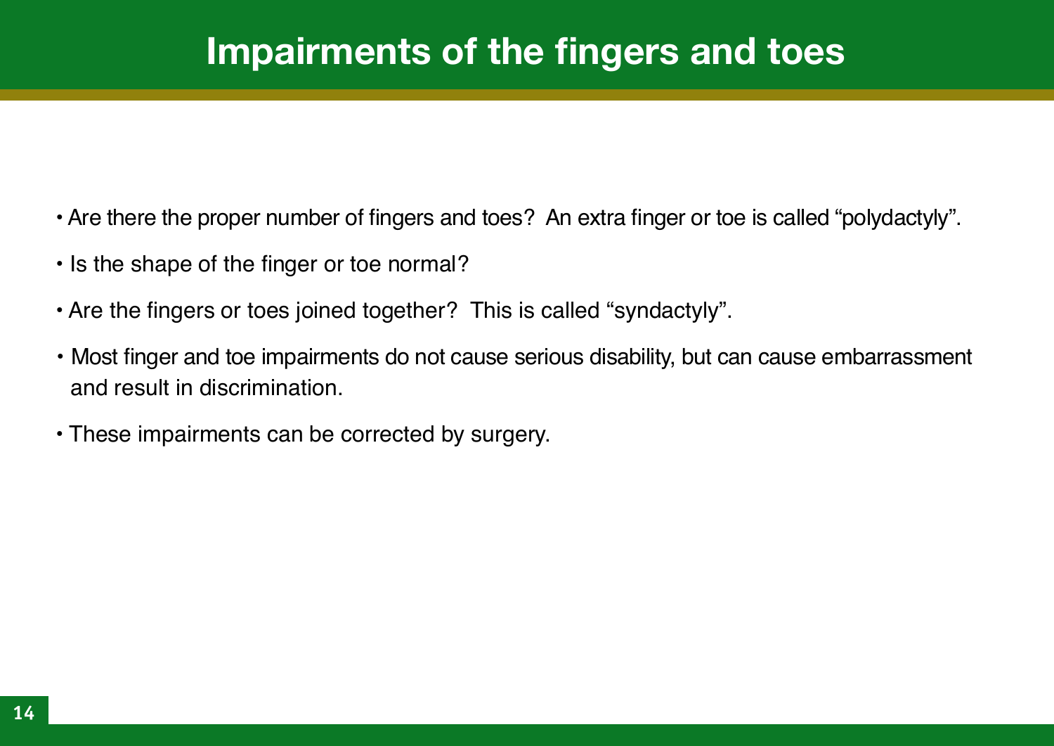## **Impairments of the fingers and toes**

- Are there the proper number of fingers and toes? An extra finger or toe is called "polydactyly".
- Is the shape of the finger or toe normal?
- Are the fingers or toes joined together? This is called "syndactyly".
- Most finger and toe impairments do not cause serious disability, but can cause embarrassment and result in discrimination.
- These impairments can be corrected by surgery.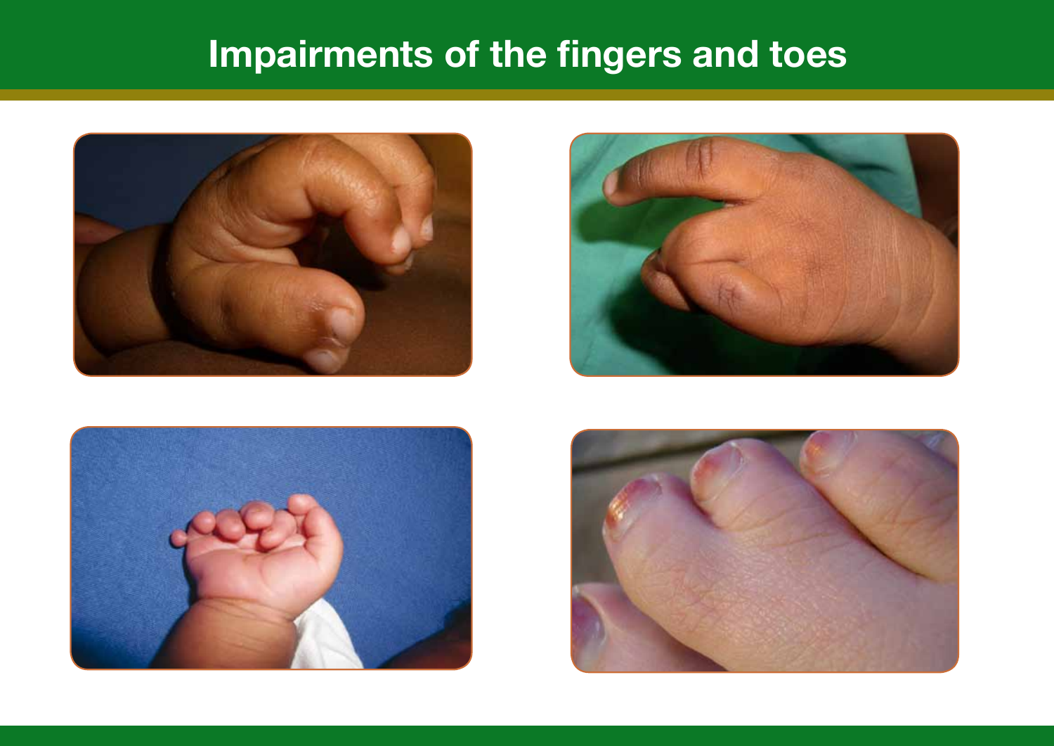# **Impairments of the fingers and toes**







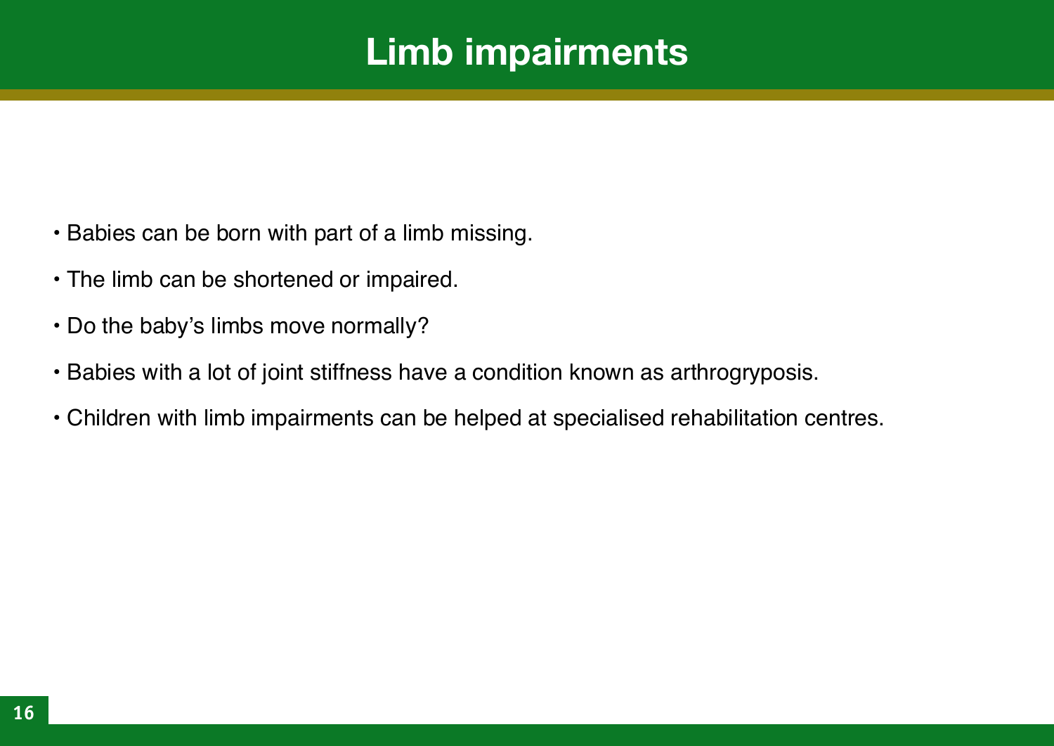## **Limb impairments**

- Babies can be born with part of a limb missing.
- The limb can be shortened or impaired.
- Do the baby's limbs move normally?
- Babies with a lot of joint stiffness have a condition known as arthrogryposis.
- Children with limb impairments can be helped at specialised rehabilitation centres.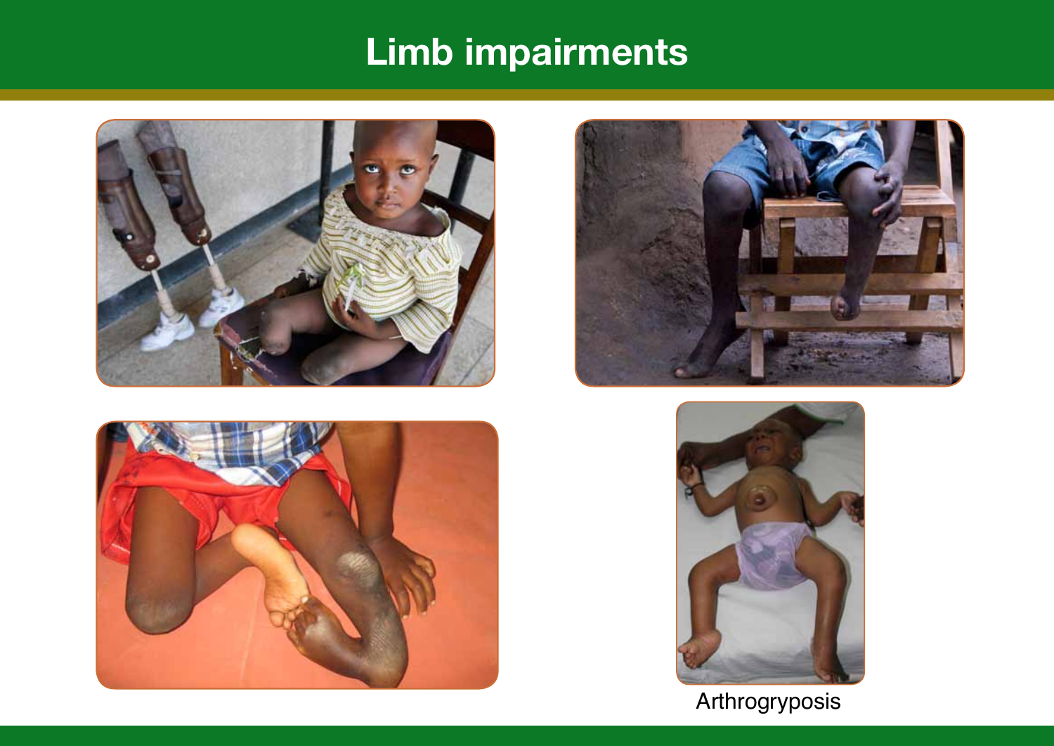# **Limb impairments**









Arthrogryposis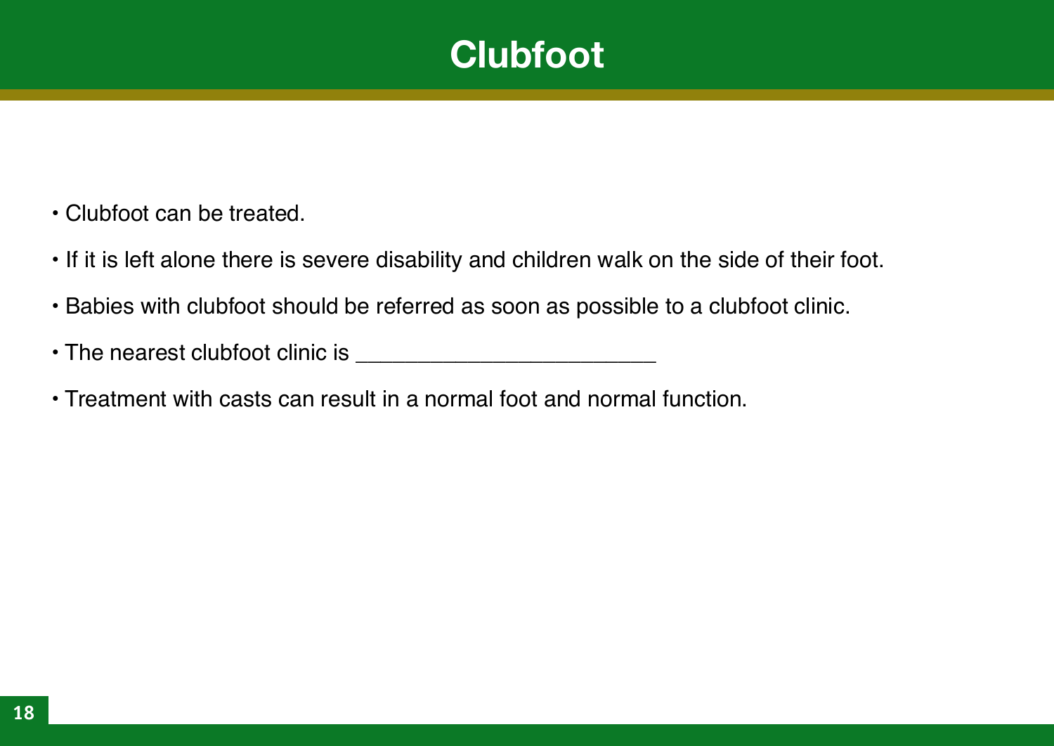#### **Clubfoot**

- Clubfoot can be treated.
- If it is left alone there is severe disability and children walk on the side of their foot.
- Babies with clubfoot should be referred as soon as possible to a clubfoot clinic.
- The nearest clubfoot clinic is \_\_\_\_\_\_\_\_\_\_\_\_\_\_\_\_\_\_\_\_\_\_\_\_
- Treatment with casts can result in a normal foot and normal function.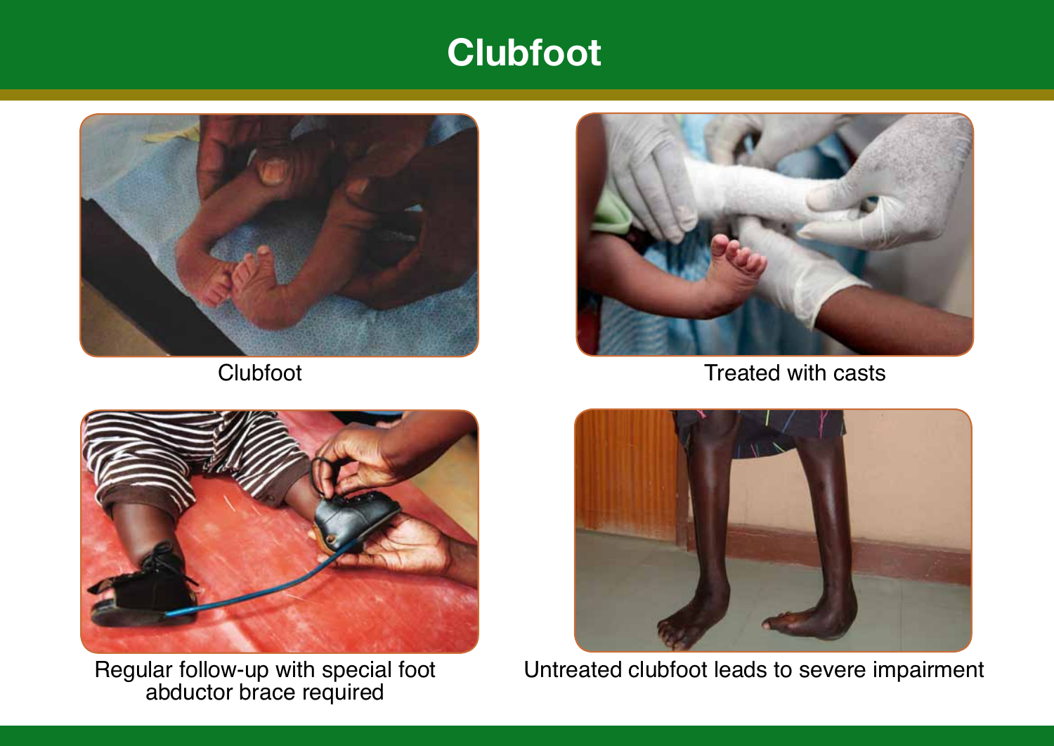#### **Clubfoot**





Clubfoot Clubfoot Clubfoot Clubfoot Clubfoot Clubfoot Clubfoot Clubfoot Clubfoot Clubfoot Clubfoot Clubfoot Clubfoot Clubfoot Clubfoot Clubfoot Clubfoot Clubfoot Clubfoot Clubfoot Clubfoot Clubfoot Clubfoot Clubfoot Clubfo



Regular follow-up with special foot abductor brace required



Untreated clubfoot leads to severe impairment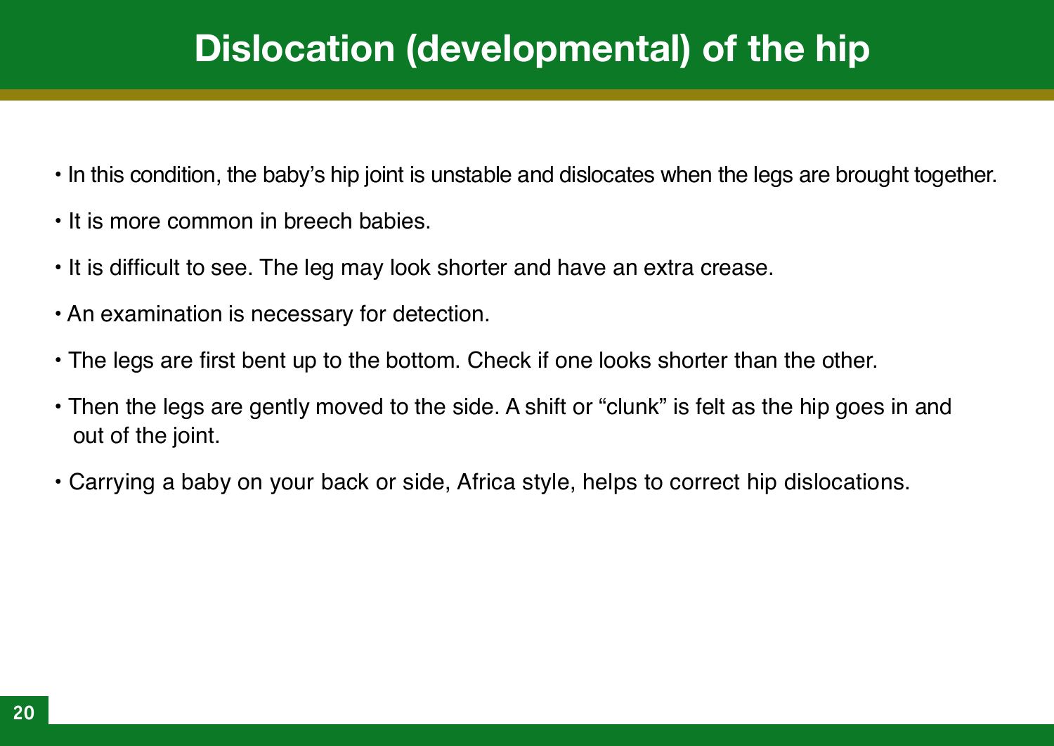## **Dislocation (developmental) of the hip**

- In this condition, the baby's hip joint is unstable and dislocates when the legs are brought together.
- It is more common in breech babies.
- It is difficult to see. The leg may look shorter and have an extra crease.
- An examination is necessary for detection.
- The legs are first bent up to the bottom. Check if one looks shorter than the other.
- Then the legs are gently moved to the side. A shift or "clunk" is felt as the hip goes in and out of the joint.
- Carrying a baby on your back or side, Africa style, helps to correct hip dislocations.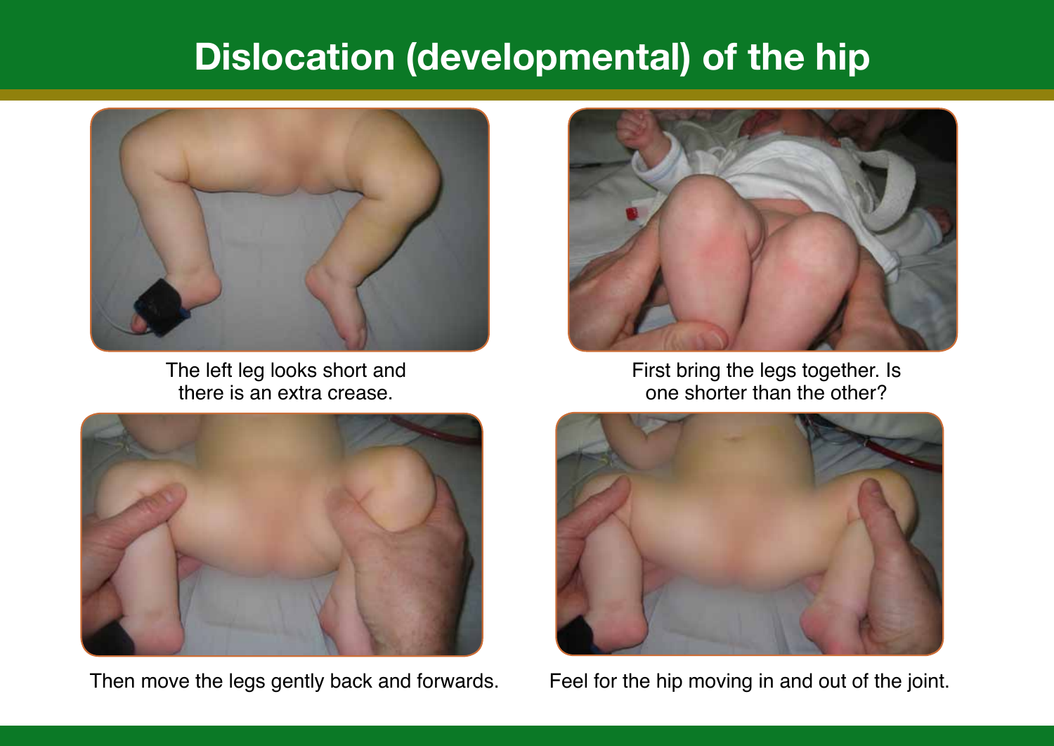#### **Dislocation (developmental) of the hip**



The left leg looks short and there is an extra crease.



Then move the legs gently back and forwards. Feel for the hip moving in and out of the joint.



First bring the legs together. Is one shorter than the other?

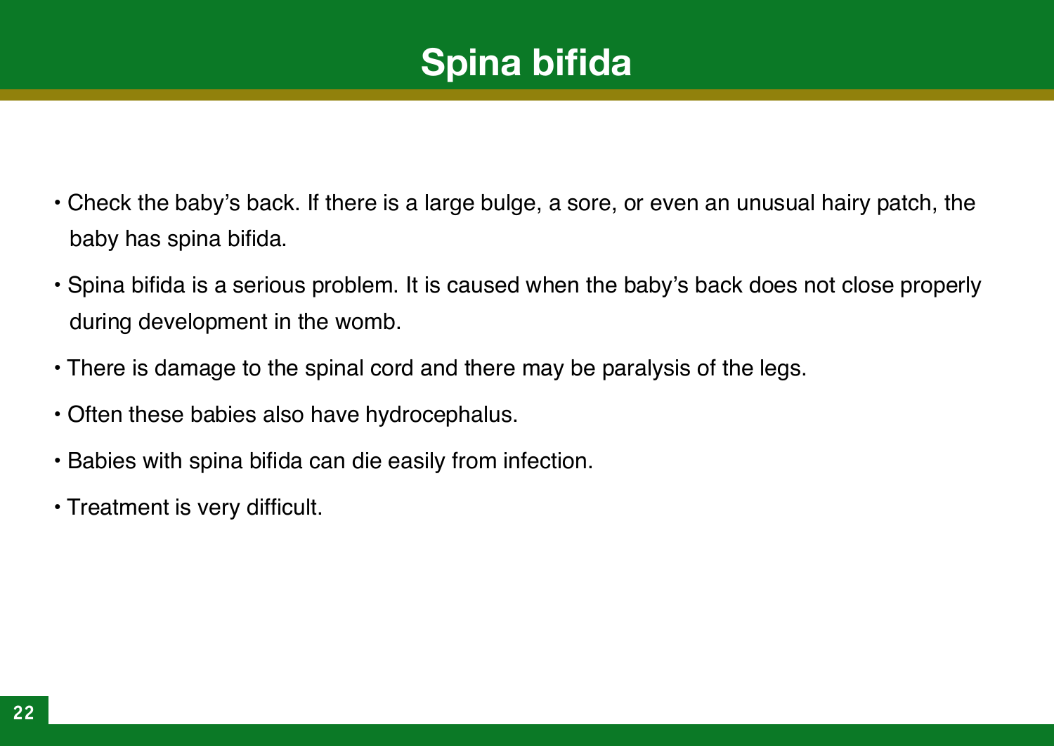# **Spina bifida**

- Check the baby's back. If there is a large bulge, a sore, or even an unusual hairy patch, the baby has spina bifida.
- Spina bifida is a serious problem. It is caused when the baby's back does not close properly during development in the womb.
- There is damage to the spinal cord and there may be paralysis of the legs.
- Often these babies also have hydrocephalus.
- Babies with spina bifida can die easily from infection.
- Treatment is very difficult.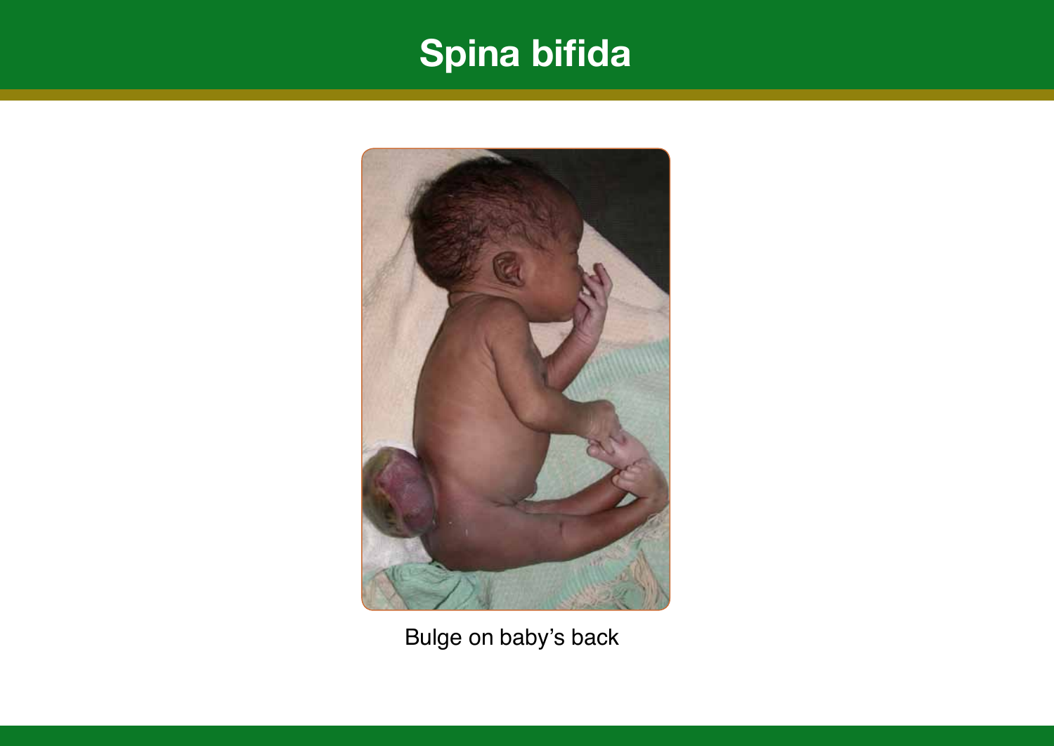# **Spina bifida**



Bulge on baby's back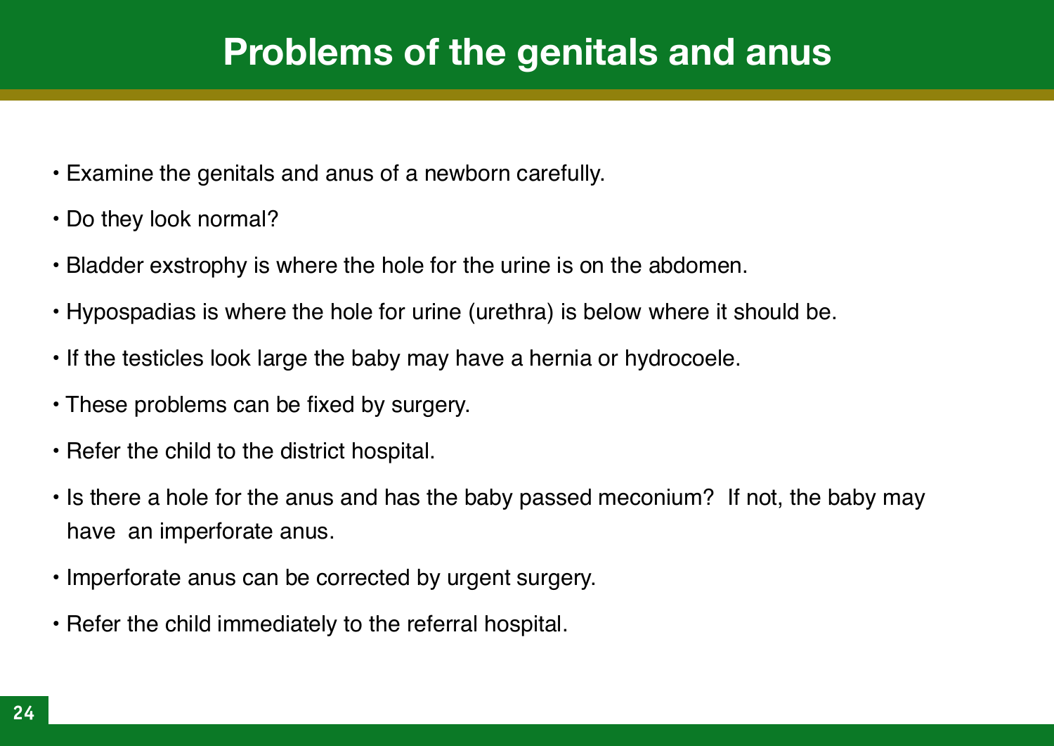#### **Problems of the genitals and anus**

- Examine the genitals and anus of a newborn carefully.
- Do they look normal?
- Bladder exstrophy is where the hole for the urine is on the abdomen.
- Hypospadias is where the hole for urine (urethra) is below where it should be.
- If the testicles look large the baby may have a hernia or hydrocoele.
- These problems can be fixed by surgery.
- Refer the child to the district hospital.
- Is there a hole for the anus and has the baby passed meconium? If not, the baby may have an imperforate anus.
- Imperforate anus can be corrected by urgent surgery.
- Refer the child immediately to the referral hospital.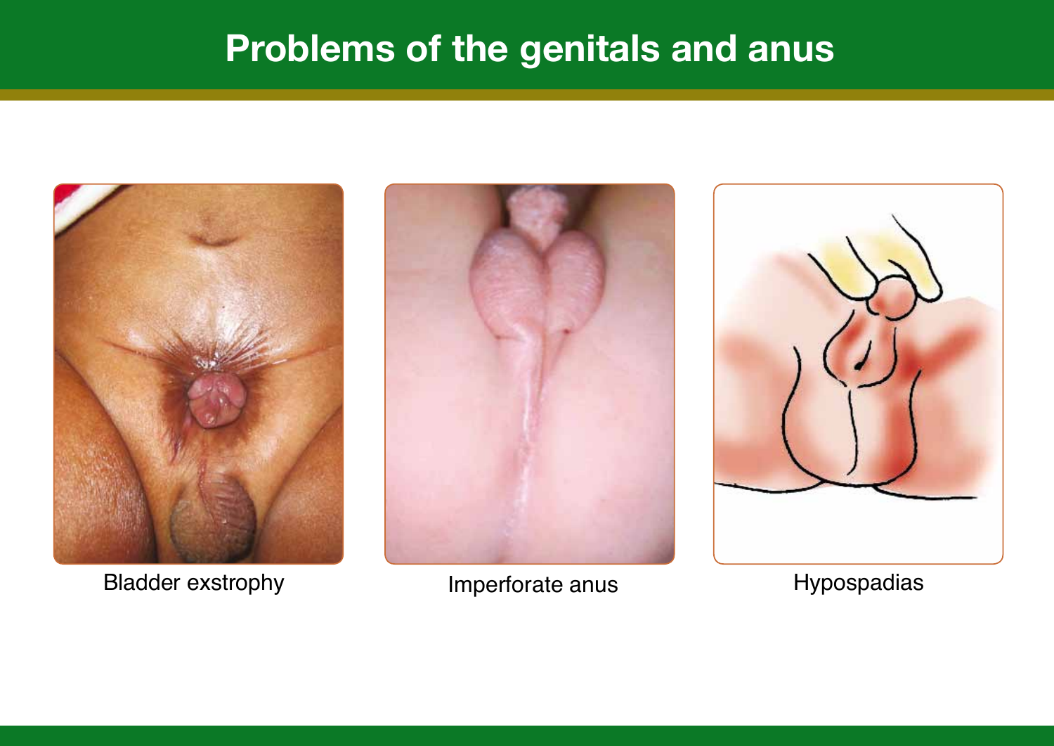#### **Problems of the genitals and anus**



Bladder exstrophy **Imperforate anus** Hypospadias



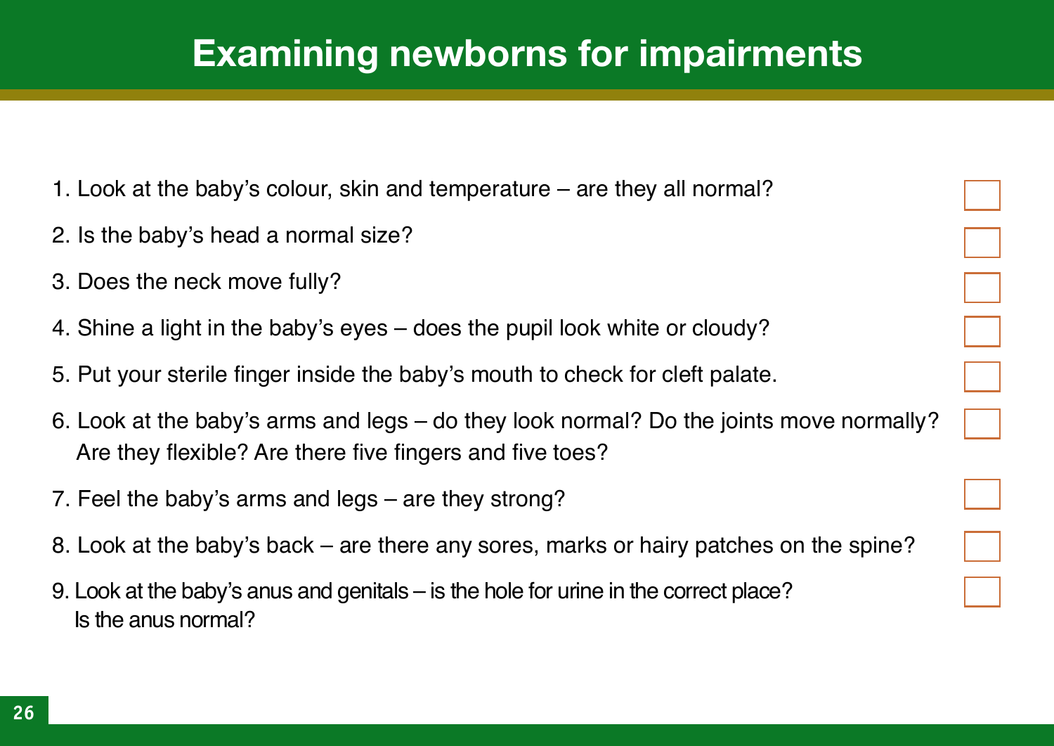## **Examining newborns for impairments**

- 1. Look at the baby's colour, skin and temperature are they all normal?
- 2. Is the baby's head a normal size?
- 3. Does the neck move fully?
- 4. Shine a light in the baby's eyes does the pupil look white or cloudy?
- 5. Put your sterile finger inside the baby's mouth to check for cleft palate.
- 6. Look at the baby's arms and legs do they look normal? Do the joints move normally? Are they flexible? Are there five fingers and five toes?
- 7. Feel the baby's arms and legs are they strong?
- 8. Look at the baby's back are there any sores, marks or hairy patches on the spine?
- 9. Look at the baby's anus and genitals is the hole for urine in the correct place? Is the anus normal?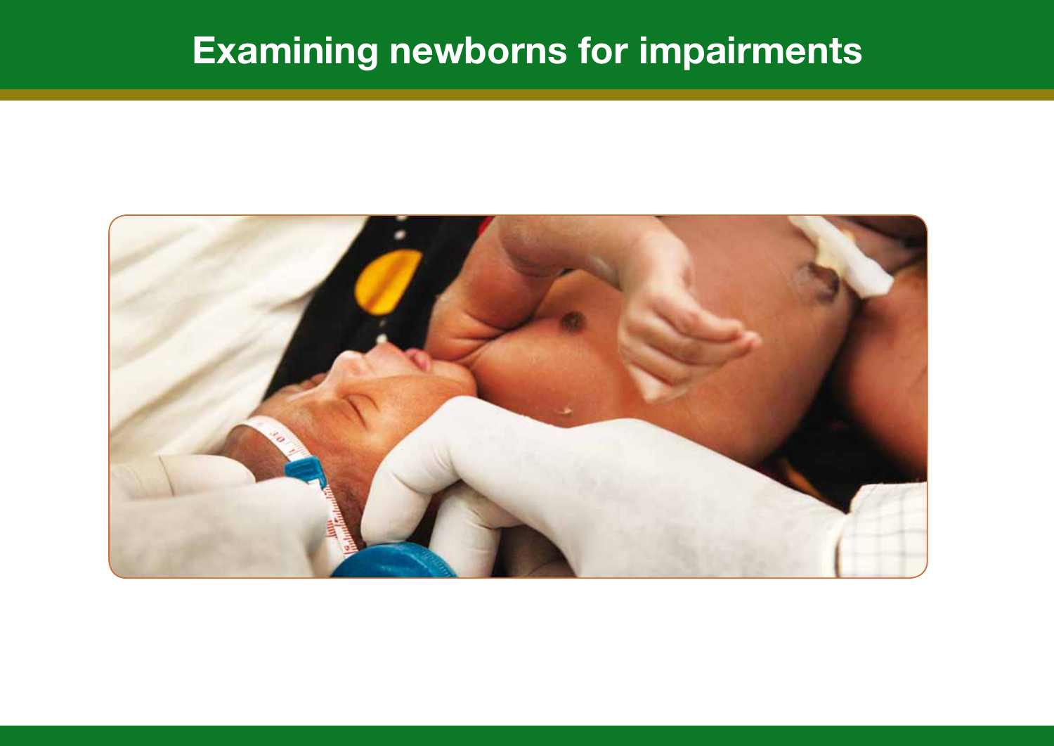# **Examining newborns for impairments**